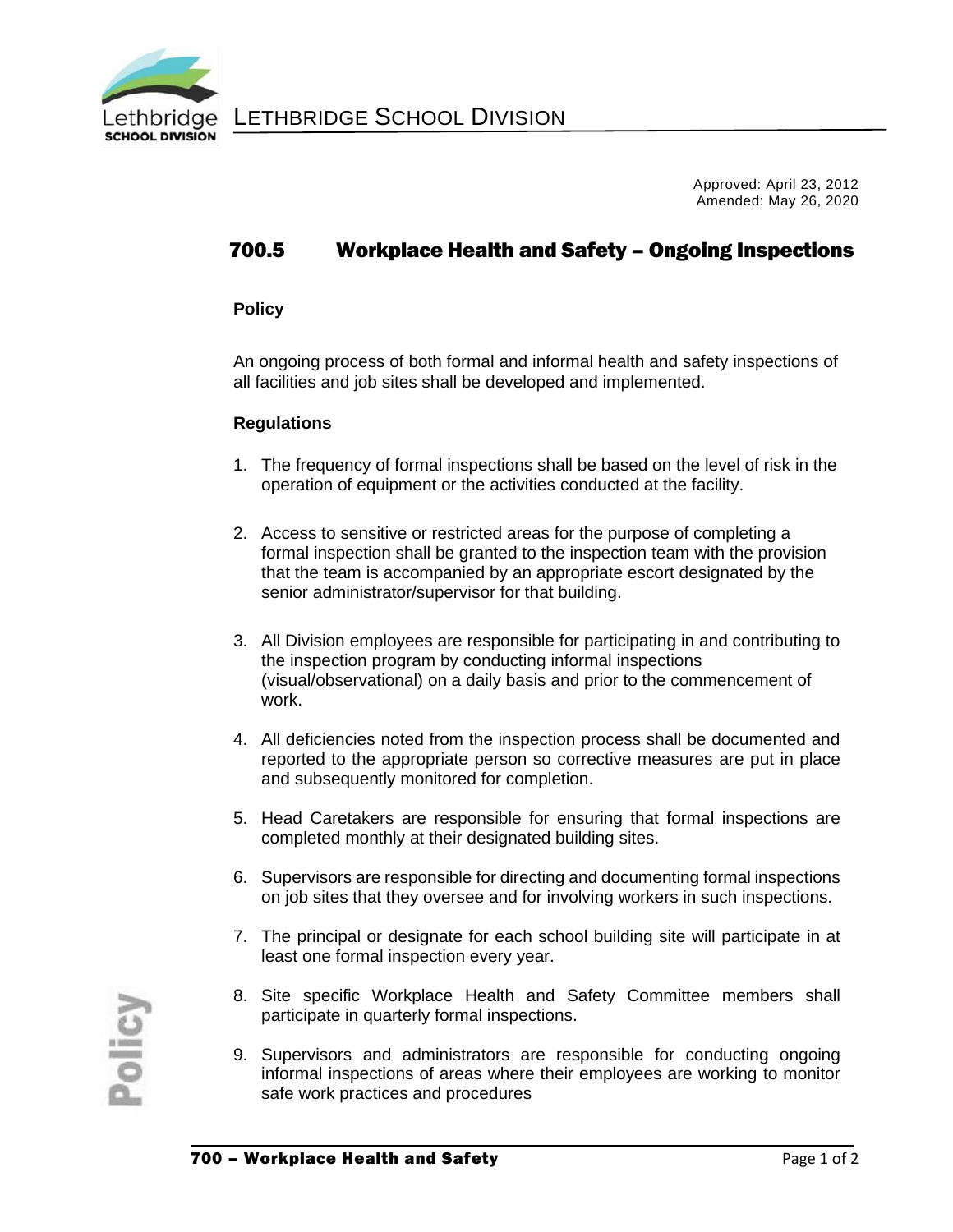

Approved: April 23, 2012 Amended: May 26, 2020

## 700.5 Workplace Health and Safety – Ongoing Inspections

## **Policy**

An ongoing process of both formal and informal health and safety inspections of all facilities and job sites shall be developed and implemented.

## **Regulations**

- 1. The frequency of formal inspections shall be based on the level of risk in the operation of equipment or the activities conducted at the facility.
- 2. Access to sensitive or restricted areas for the purpose of completing a formal inspection shall be granted to the inspection team with the provision that the team is accompanied by an appropriate escort designated by the senior administrator/supervisor for that building.
- 3. All Division employees are responsible for participating in and contributing to the inspection program by conducting informal inspections (visual/observational) on a daily basis and prior to the commencement of work.
- 4. All deficiencies noted from the inspection process shall be documented and reported to the appropriate person so corrective measures are put in place and subsequently monitored for completion.
- 5. Head Caretakers are responsible for ensuring that formal inspections are completed monthly at their designated building sites.
- 6. Supervisors are responsible for directing and documenting formal inspections on job sites that they oversee and for involving workers in such inspections.
- 7. The principal or designate for each school building site will participate in at least one formal inspection every year.
- 8. Site specific Workplace Health and Safety Committee members shall participate in quarterly formal inspections.
- 9. Supervisors and administrators are responsible for conducting ongoing informal inspections of areas where their employees are working to monitor safe work practices and procedures